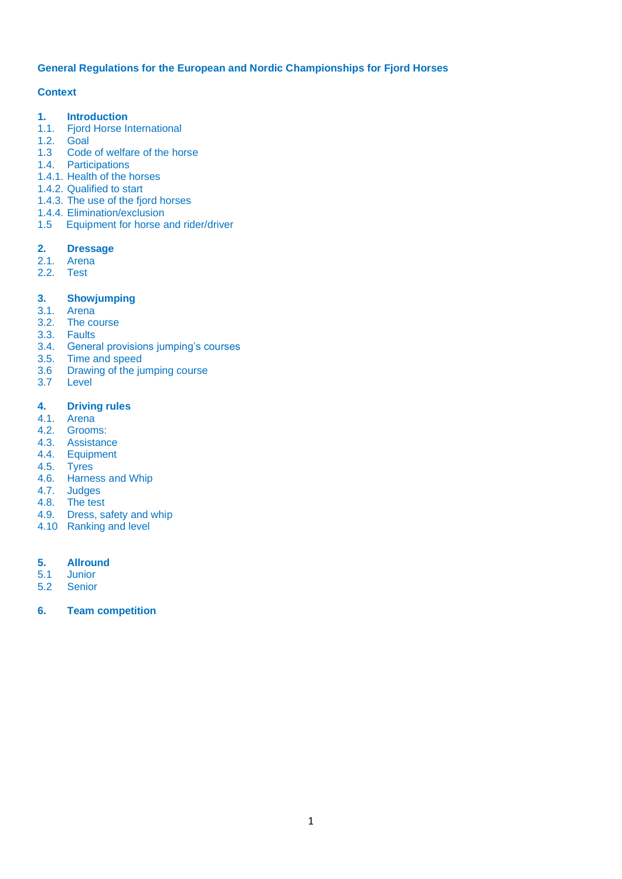## **General Regulations for the European and Nordic Championships for Fjord Horses**

# **Context**

- **1. Introduction**<br>**1.1.** Fjord Horse In
- **Fjord Horse International**
- 1.2. Goal
- 1.3 Code of welfare of the horse
- 1.4. Participations
- 1.4.1. Health of the horses
- 1.4.2. Qualified to start
- 1.4.3. The use of the fjord horses
- 1.4.4. Elimination/exclusion
- 1.5 Equipment for horse and rider/driver

# **2. Dressage**

- 2.1. Arena
- 2.2. Test

# **3. Showjumping**

- 3.1. Arena
- 3.2. The course
- 3.3. Faults
- 3.4. General provisions jumping's courses
- 3.5. Time and speed<br>3.6 Drawing of the iu
- 3.6 Drawing of the jumping course<br>3.7 Level
- **Level**

# **4. Driving rules**

- 4.1. Arena
- 4.2. Grooms:
- 4.3. Assistance
- 4.4. Equipment
- 4.5. Tyres
- 4.6. Harness and Whip
- 4.7. Judges
- 4.8. The test
- 4.9. Dress, safety and whip
- 4.10 Ranking and level

## **5. Allround**

- 5.1 Junior
- 5.2 Senior
- **6. Team competition**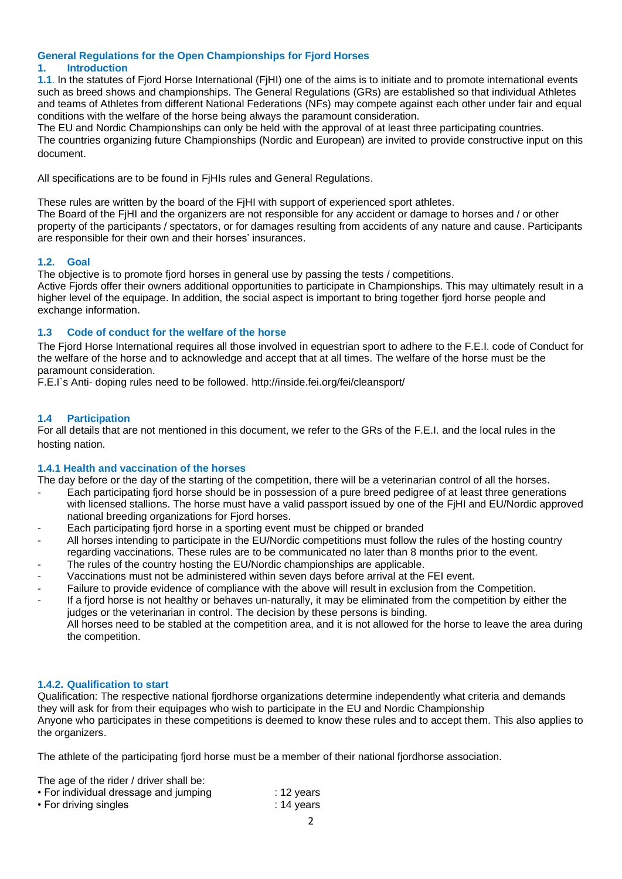#### **General Regulations for the Open Championships for Fjord Horses 1. Introduction**

**1.1**. In the statutes of Fjord Horse International (FjHI) one of the aims is to initiate and to promote international events such as breed shows and championships. The General Regulations (GRs) are established so that individual Athletes and teams of Athletes from different National Federations (NFs) may compete against each other under fair and equal conditions with the welfare of the horse being always the paramount consideration.

The EU and Nordic Championships can only be held with the approval of at least three participating countries. The countries organizing future Championships (Nordic and European) are invited to provide constructive input on this document.

All specifications are to be found in FjHIs rules and General Regulations.

These rules are written by the board of the FjHI with support of experienced sport athletes.

The Board of the FjHI and the organizers are not responsible for any accident or damage to horses and / or other property of the participants / spectators, or for damages resulting from accidents of any nature and cause. Participants are responsible for their own and their horses' insurances.

# **1.2. Goal**

The objective is to promote fjord horses in general use by passing the tests / competitions.

Active Fjords offer their owners additional opportunities to participate in Championships. This may ultimately result in a higher level of the equipage. In addition, the social aspect is important to bring together fjord horse people and exchange information.

# **1.3 Code of conduct for the welfare of the horse**

The Fjord Horse International requires all those involved in equestrian sport to adhere to the F.E.I. code of Conduct for the welfare of the horse and to acknowledge and accept that at all times. The welfare of the horse must be the paramount consideration.

F.E.I`s Anti- doping rules need to be followed. http://inside.fei.org/fei/cleansport/

# **1.4 Participation**

For all details that are not mentioned in this document, we refer to the GRs of the F.E.I. and the local rules in the hosting nation.

## **1.4.1 Health and vaccination of the horses**

The day before or the day of the starting of the competition, there will be a veterinarian control of all the horses.

- Each participating fjord horse should be in possession of a pure breed pedigree of at least three generations with licensed stallions. The horse must have a valid passport issued by one of the FjHI and EU/Nordic approved national breeding organizations for Fjord horses.
- Each participating fjord horse in a sporting event must be chipped or branded
- All horses intending to participate in the EU/Nordic competitions must follow the rules of the hosting country regarding vaccinations. These rules are to be communicated no later than 8 months prior to the event.
- The rules of the country hosting the EU/Nordic championships are applicable.
- Vaccinations must not be administered within seven days before arrival at the FEI event.
- Failure to provide evidence of compliance with the above will result in exclusion from the Competition.
- If a fiord horse is not healthy or behaves un-naturally, it may be eliminated from the competition by either the judges or the veterinarian in control. The decision by these persons is binding. All horses need to be stabled at the competition area, and it is not allowed for the horse to leave the area during the competition.

## **1.4.2. Qualification to start**

Qualification: The respective national fjordhorse organizations determine independently what criteria and demands they will ask for from their equipages who wish to participate in the EU and Nordic Championship Anyone who participates in these competitions is deemed to know these rules and to accept them. This also applies to the organizers.

The athlete of the participating fjord horse must be a member of their national fjordhorse association.

The age of the rider / driver shall be:

| • For individual dressage and jumping | $: 12$ years |
|---------------------------------------|--------------|
| • For driving singles                 | $: 14$ years |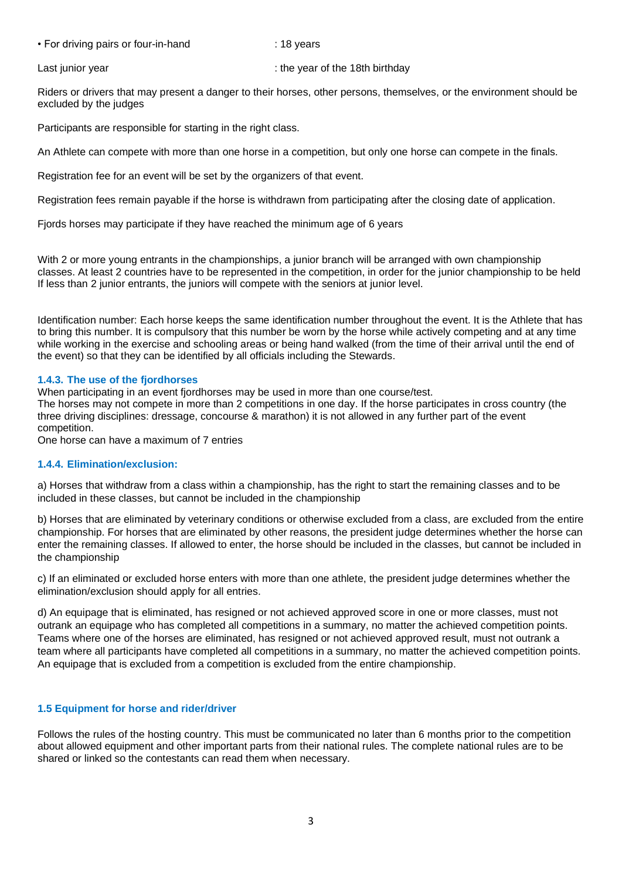• For driving pairs or four-in-hand : 18 years

Last junior year **in the year of the 18th birthday** : the year of the 18th birthday

Riders or drivers that may present a danger to their horses, other persons, themselves, or the environment should be excluded by the judges

Participants are responsible for starting in the right class.

An Athlete can compete with more than one horse in a competition, but only one horse can compete in the finals.

Registration fee for an event will be set by the organizers of that event.

Registration fees remain payable if the horse is withdrawn from participating after the closing date of application.

Fjords horses may participate if they have reached the minimum age of 6 years

With 2 or more young entrants in the championships, a junior branch will be arranged with own championship classes. At least 2 countries have to be represented in the competition, in order for the junior championship to be held If less than 2 junior entrants, the juniors will compete with the seniors at junior level.

Identification number: Each horse keeps the same identification number throughout the event. It is the Athlete that has to bring this number. It is compulsory that this number be worn by the horse while actively competing and at any time while working in the exercise and schooling areas or being hand walked (from the time of their arrival until the end of the event) so that they can be identified by all officials including the Stewards.

#### **1.4.3. The use of the fjordhorses**

When participating in an event fjordhorses may be used in more than one course/test.

The horses may not compete in more than 2 competitions in one day. If the horse participates in cross country (the three driving disciplines: dressage, concourse & marathon) it is not allowed in any further part of the event competition.

One horse can have a maximum of 7 entries

#### **1.4.4. Elimination/exclusion:**

a) Horses that withdraw from a class within a championship, has the right to start the remaining classes and to be included in these classes, but cannot be included in the championship

b) Horses that are eliminated by veterinary conditions or otherwise excluded from a class, are excluded from the entire championship. For horses that are eliminated by other reasons, the president judge determines whether the horse can enter the remaining classes. If allowed to enter, the horse should be included in the classes, but cannot be included in the championship

c) If an eliminated or excluded horse enters with more than one athlete, the president judge determines whether the elimination/exclusion should apply for all entries.

d) An equipage that is eliminated, has resigned or not achieved approved score in one or more classes, must not outrank an equipage who has completed all competitions in a summary, no matter the achieved competition points. Teams where one of the horses are eliminated, has resigned or not achieved approved result, must not outrank a team where all participants have completed all competitions in a summary, no matter the achieved competition points. An equipage that is excluded from a competition is excluded from the entire championship.

## **1.5 Equipment for horse and rider/driver**

Follows the rules of the hosting country. This must be communicated no later than 6 months prior to the competition about allowed equipment and other important parts from their national rules. The complete national rules are to be shared or linked so the contestants can read them when necessary.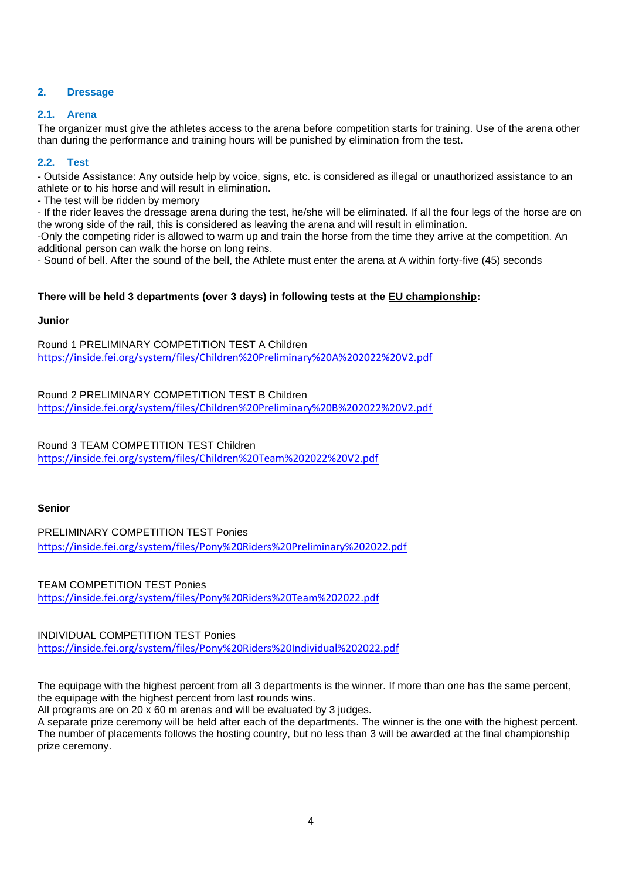# **2. Dressage**

## **2.1. Arena**

The organizer must give the athletes access to the arena before competition starts for training. Use of the arena other than during the performance and training hours will be punished by elimination from the test.

## **2.2. Test**

- Outside Assistance: Any outside help by voice, signs, etc. is considered as illegal or unauthorized assistance to an athlete or to his horse and will result in elimination.

- The test will be ridden by memory

- If the rider leaves the dressage arena during the test, he/she will be eliminated. If all the four legs of the horse are on the wrong side of the rail, this is considered as leaving the arena and will result in elimination.

-Only the competing rider is allowed to warm up and train the horse from the time they arrive at the competition. An additional person can walk the horse on long reins.

- Sound of bell. After the sound of the bell, the Athlete must enter the arena at A within forty-five (45) seconds

# **There will be held 3 departments (over 3 days) in following tests at the EU championship:**

## **Junior**

Round 1 PRELIMINARY COMPETITION TEST A Children <https://inside.fei.org/system/files/Children%20Preliminary%20A%202022%20V2.pdf>

Round 2 PRELIMINARY COMPETITION TEST B Children <https://inside.fei.org/system/files/Children%20Preliminary%20B%202022%20V2.pdf>

Round 3 TEAM COMPETITION TEST Children <https://inside.fei.org/system/files/Children%20Team%202022%20V2.pdf>

# **Senior**

PRELIMINARY COMPETITION TEST Ponies <https://inside.fei.org/system/files/Pony%20Riders%20Preliminary%202022.pdf>

TEAM COMPETITION TEST Ponies <https://inside.fei.org/system/files/Pony%20Riders%20Team%202022.pdf>

INDIVIDUAL COMPETITION TEST Ponies <https://inside.fei.org/system/files/Pony%20Riders%20Individual%202022.pdf>

The equipage with the highest percent from all 3 departments is the winner. If more than one has the same percent, the equipage with the highest percent from last rounds wins.

All programs are on 20 x 60 m arenas and will be evaluated by 3 judges.

A separate prize ceremony will be held after each of the departments. The winner is the one with the highest percent. The number of placements follows the hosting country, but no less than 3 will be awarded at the final championship prize ceremony.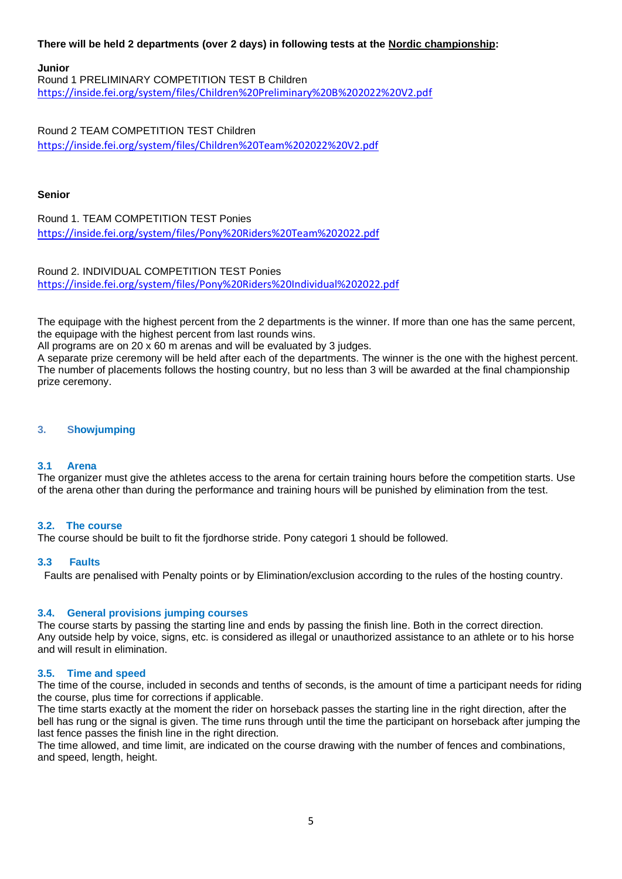## **There will be held 2 departments (over 2 days) in following tests at the Nordic championship:**

#### **Junior**

Round 1 PRELIMINARY COMPETITION TEST B Children <https://inside.fei.org/system/files/Children%20Preliminary%20B%202022%20V2.pdf>

Round 2 TEAM COMPETITION TEST Children <https://inside.fei.org/system/files/Children%20Team%202022%20V2.pdf>

#### **Senior**

Round 1. TEAM COMPETITION TEST Ponies <https://inside.fei.org/system/files/Pony%20Riders%20Team%202022.pdf>

Round 2. INDIVIDUAL COMPETITION TEST Ponies <https://inside.fei.org/system/files/Pony%20Riders%20Individual%202022.pdf>

The equipage with the highest percent from the 2 departments is the winner. If more than one has the same percent, the equipage with the highest percent from last rounds wins.

All programs are on 20 x 60 m arenas and will be evaluated by 3 judges.

A separate prize ceremony will be held after each of the departments. The winner is the one with the highest percent. The number of placements follows the hosting country, but no less than 3 will be awarded at the final championship prize ceremony.

## **3. Showjumping**

## **3.1 Arena**

The organizer must give the athletes access to the arena for certain training hours before the competition starts. Use of the arena other than during the performance and training hours will be punished by elimination from the test.

#### **3.2. The course**

The course should be built to fit the fjordhorse stride. Pony categori 1 should be followed.

#### **3.3 Faults**

Faults are penalised with Penalty points or by Elimination/exclusion according to the rules of the hosting country.

#### **3.4. General provisions jumping courses**

The course starts by passing the starting line and ends by passing the finish line. Both in the correct direction. Any outside help by voice, signs, etc. is considered as illegal or unauthorized assistance to an athlete or to his horse and will result in elimination.

#### **3.5. Time and speed**

The time of the course, included in seconds and tenths of seconds, is the amount of time a participant needs for riding the course, plus time for corrections if applicable.

The time starts exactly at the moment the rider on horseback passes the starting line in the right direction, after the bell has rung or the signal is given. The time runs through until the time the participant on horseback after jumping the last fence passes the finish line in the right direction.

The time allowed, and time limit, are indicated on the course drawing with the number of fences and combinations, and speed, length, height.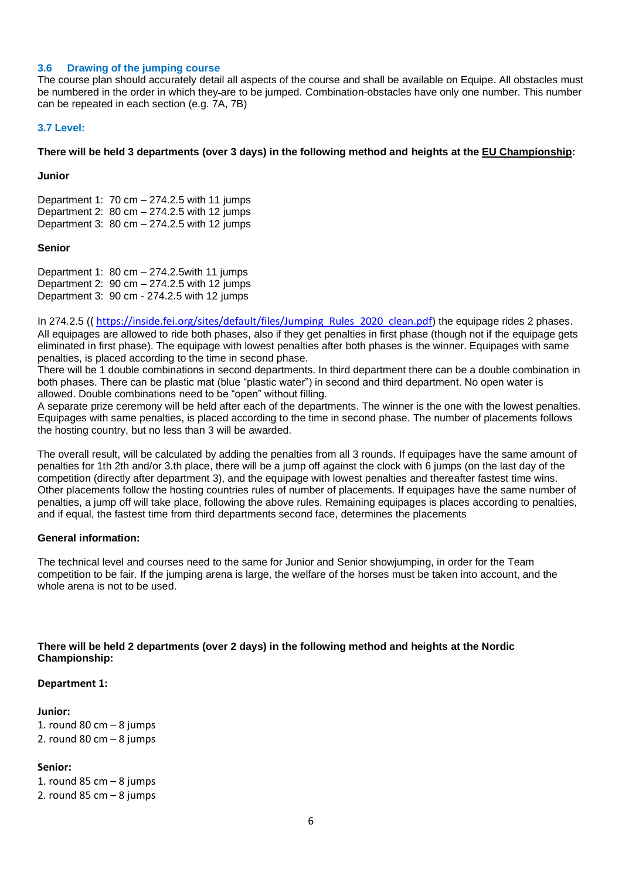#### **3.6 Drawing of the jumping course**

The course plan should accurately detail all aspects of the course and shall be available on Equipe. All obstacles must be numbered in the order in which they are to be jumped. Combination-obstacles have only one number. This number can be repeated in each section (e.g. 7A, 7B)

#### **3.7 Level:**

#### **There will be held 3 departments (over 3 days) in the following method and heights at the EU Championship:**

**Junior** 

Department 1: 70 cm – 274.2.5 with 11 jumps Department 2:  $80 \text{ cm} - 274.2.5 \text{ with } 12 \text{ jumps}$ Department 3: 80 cm – 274.2.5 with 12 jumps

#### **Senior**

Department 1: 80 cm – 274.2.5with 11 jumps Department 2: 90 cm – 274.2.5 with 12 jumps Department 3: 90 cm - 274.2.5 with 12 jumps

In 274.2.5 (( [https://inside.fei.org/sites/default/files/Jumping\\_Rules\\_2020\\_clean.pdf](https://inside.fei.org/sites/default/files/Jumping_Rules_2020_clean.pdf)) the equipage rides 2 phases. All equipages are allowed to ride both phases, also if they get penalties in first phase (though not if the equipage gets eliminated in first phase). The equipage with lowest penalties after both phases is the winner. Equipages with same penalties, is placed according to the time in second phase.

There will be 1 double combinations in second departments. In third department there can be a double combination in both phases. There can be plastic mat (blue "plastic water") in second and third department. No open water is allowed. Double combinations need to be "open" without filling.

A separate prize ceremony will be held after each of the departments. The winner is the one with the lowest penalties. Equipages with same penalties, is placed according to the time in second phase. The number of placements follows the hosting country, but no less than 3 will be awarded.

The overall result, will be calculated by adding the penalties from all 3 rounds. If equipages have the same amount of penalties for 1th 2th and/or 3.th place, there will be a jump off against the clock with 6 jumps (on the last day of the competition (directly after department 3), and the equipage with lowest penalties and thereafter fastest time wins. Other placements follow the hosting countries rules of number of placements. If equipages have the same number of penalties, a jump off will take place, following the above rules. Remaining equipages is places according to penalties, and if equal, the fastest time from third departments second face, determines the placements

## **General information:**

The technical level and courses need to the same for Junior and Senior showjumping, in order for the Team competition to be fair. If the jumping arena is large, the welfare of the horses must be taken into account, and the whole arena is not to be used.

## **There will be held 2 departments (over 2 days) in the following method and heights at the Nordic Championship:**

#### **Department 1:**

#### **Junior:**

1. round 80 cm  $-8$  jumps 2. round 80 cm  $-8$  jumps

## **Senior:**

1. round 85 cm  $-8$  jumps 2. round  $85$  cm  $-8$  jumps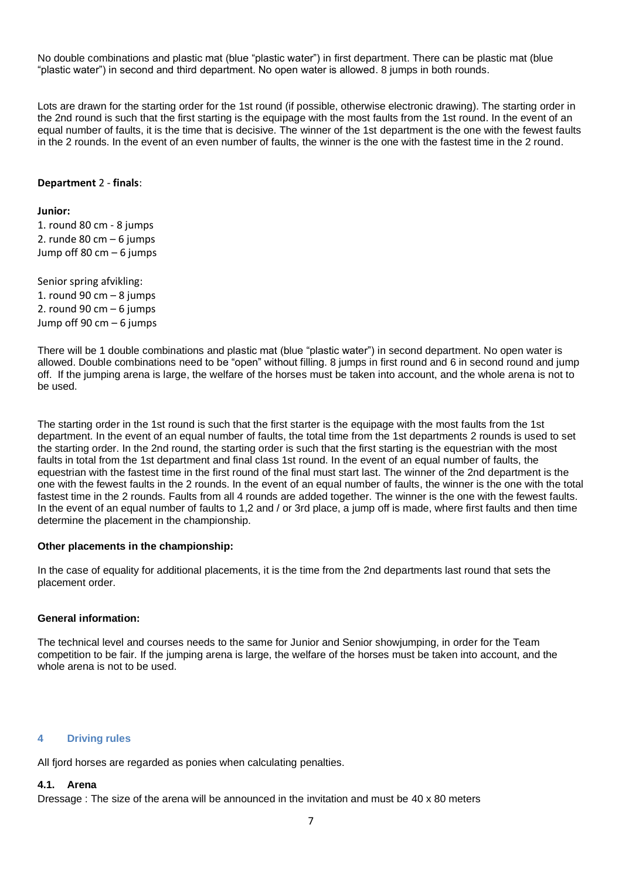No double combinations and plastic mat (blue "plastic water") in first department. There can be plastic mat (blue "plastic water") in second and third department. No open water is allowed. 8 jumps in both rounds.

Lots are drawn for the starting order for the 1st round (if possible, otherwise electronic drawing). The starting order in the 2nd round is such that the first starting is the equipage with the most faults from the 1st round. In the event of an equal number of faults, it is the time that is decisive. The winner of the 1st department is the one with the fewest faults in the 2 rounds. In the event of an even number of faults, the winner is the one with the fastest time in the 2 round.

#### **Department** 2 - **finals**:

#### **Junior:**

1. round 80 cm - 8 jumps 2. runde 80 cm  $-6$  jumps Jump off 80 cm – 6 jumps

Senior spring afvikling: 1. round 90 cm  $-8$  jumps 2. round 90 cm  $-6$  jumps Jump off 90 cm – 6 jumps

There will be 1 double combinations and plastic mat (blue "plastic water") in second department. No open water is allowed. Double combinations need to be "open" without filling. 8 jumps in first round and 6 in second round and jump off. If the jumping arena is large, the welfare of the horses must be taken into account, and the whole arena is not to be used.

The starting order in the 1st round is such that the first starter is the equipage with the most faults from the 1st department. In the event of an equal number of faults, the total time from the 1st departments 2 rounds is used to set the starting order. In the 2nd round, the starting order is such that the first starting is the equestrian with the most faults in total from the 1st department and final class 1st round. In the event of an equal number of faults, the equestrian with the fastest time in the first round of the final must start last. The winner of the 2nd department is the one with the fewest faults in the 2 rounds. In the event of an equal number of faults, the winner is the one with the total fastest time in the 2 rounds. Faults from all 4 rounds are added together. The winner is the one with the fewest faults. In the event of an equal number of faults to 1,2 and / or 3rd place, a jump off is made, where first faults and then time determine the placement in the championship.

#### **Other placements in the championship:**

In the case of equality for additional placements, it is the time from the 2nd departments last round that sets the placement order.

#### **General information:**

The technical level and courses needs to the same for Junior and Senior showjumping, in order for the Team competition to be fair. If the jumping arena is large, the welfare of the horses must be taken into account, and the whole arena is not to be used.

#### **4 Driving rules**

All fjord horses are regarded as ponies when calculating penalties.

#### **4.1. Arena**

Dressage : The size of the arena will be announced in the invitation and must be 40 x 80 meters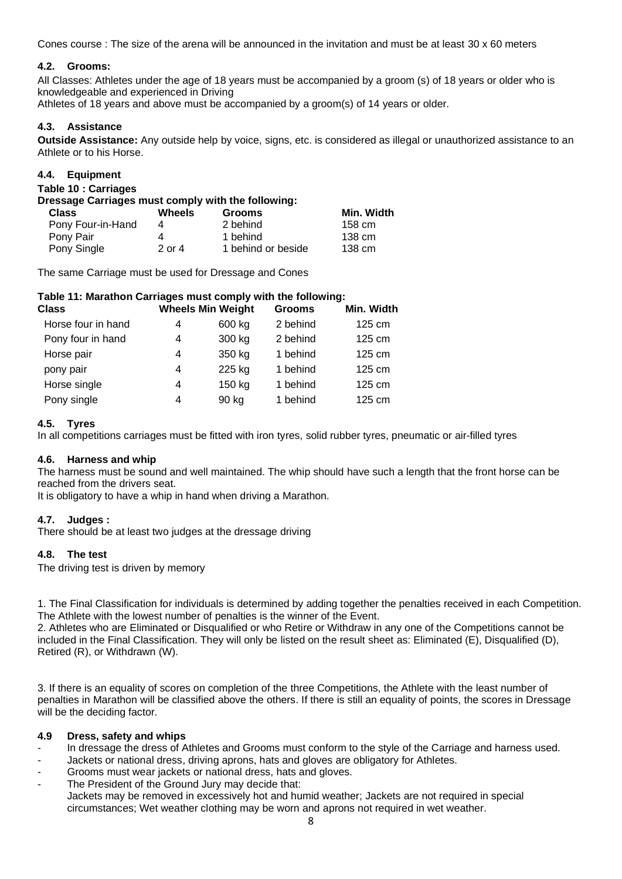Cones course : The size of the arena will be announced in the invitation and must be at least 30 x 60 meters

## **4.2. Grooms:**

All Classes: Athletes under the age of 18 years must be accompanied by a groom (s) of 18 years or older who is knowledgeable and experienced in Driving

Athletes of 18 years and above must be accompanied by a groom(s) of 14 years or older.

## **4.3. Assistance**

**Outside Assistance:** Any outside help by voice, signs, etc. is considered as illegal or unauthorized assistance to an Athlete or to his Horse.

## **4.4. Equipment**

**Table 10 : Carriages** 

| Dressage Carriages must comply with the following: |            |                    |            |  |  |  |
|----------------------------------------------------|------------|--------------------|------------|--|--|--|
| <b>Class</b>                                       | Wheels     | <b>Grooms</b>      | Min. Width |  |  |  |
| Pony Four-in-Hand                                  | 4          | 2 behind           | 158 cm     |  |  |  |
| Pony Pair                                          |            | 1 behind           | 138 cm     |  |  |  |
| Pony Single                                        | $2$ or $4$ | 1 behind or beside | 138 cm     |  |  |  |

The same Carriage must be used for Dressage and Cones

# **Table 11: Marathon Carriages must comply with the following:**

|   |        | <b>Grooms</b>            | Min. Width       |
|---|--------|--------------------------|------------------|
| 4 | 600 kg | 2 behind                 | 125 cm           |
| 4 | 300 kg | 2 behind                 | $125 \text{ cm}$ |
| 4 | 350 kg | 1 behind                 | $125 \text{ cm}$ |
| 4 | 225 kg | 1 behind                 | 125 cm           |
| 4 | 150 kg | 1 behind                 | 125 cm           |
| 4 | 90 kg  | 1 behind                 | 125 cm           |
|   |        | <b>Wheels Min Weight</b> |                  |

## **4.5. Tyres**

In all competitions carriages must be fitted with iron tyres, solid rubber tyres, pneumatic or air-filled tyres

## **4.6. Harness and whip**

The harness must be sound and well maintained. The whip should have such a length that the front horse can be reached from the drivers seat.

It is obligatory to have a whip in hand when driving a Marathon.

## **4.7. Judges :**

There should be at least two judges at the dressage driving

## **4.8. The test**

The driving test is driven by memory

1. The Final Classification for individuals is determined by adding together the penalties received in each Competition. The Athlete with the lowest number of penalties is the winner of the Event.

2. Athletes who are Eliminated or Disqualified or who Retire or Withdraw in any one of the Competitions cannot be included in the Final Classification. They will only be listed on the result sheet as: Eliminated (E), Disqualified (D), Retired (R), or Withdrawn (W).

3. If there is an equality of scores on completion of the three Competitions, the Athlete with the least number of penalties in Marathon will be classified above the others. If there is still an equality of points, the scores in Dressage will be the deciding factor.

## **4.9 Dress, safety and whips**

- In dressage the dress of Athletes and Grooms must conform to the style of the Carriage and harness used.
- Jackets or national dress, driving aprons, hats and gloves are obligatory for Athletes.
- Grooms must wear jackets or national dress, hats and gloves.
- The President of the Ground Jury may decide that: Jackets may be removed in excessively hot and humid weather; Jackets are not required in special circumstances; Wet weather clothing may be worn and aprons not required in wet weather.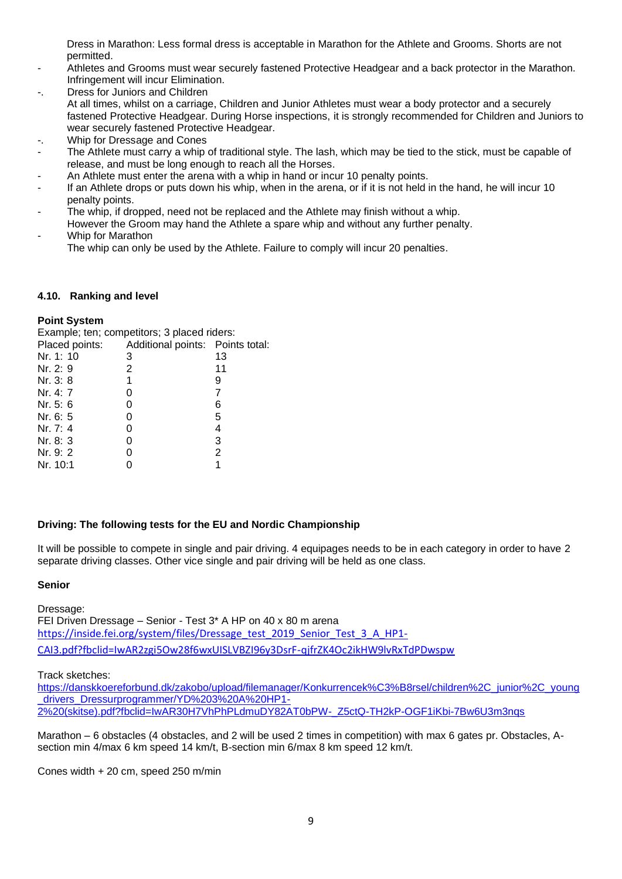Dress in Marathon: Less formal dress is acceptable in Marathon for the Athlete and Grooms. Shorts are not permitted.

- Athletes and Grooms must wear securely fastened Protective Headgear and a back protector in the Marathon. Infringement will incur Elimination.
- Dress for Juniors and Children At all times, whilst on a carriage, Children and Junior Athletes must wear a body protector and a securely fastened Protective Headgear. During Horse inspections, it is strongly recommended for Children and Juniors to wear securely fastened Protective Headgear.
- Whip for Dressage and Cones
- The Athlete must carry a whip of traditional style. The lash, which may be tied to the stick, must be capable of release, and must be long enough to reach all the Horses.
- An Athlete must enter the arena with a whip in hand or incur 10 penalty points.
- If an Athlete drops or puts down his whip, when in the arena, or if it is not held in the hand, he will incur 10 penalty points.
- The whip, if dropped, need not be replaced and the Athlete may finish without a whip.
- However the Groom may hand the Athlete a spare whip and without any further penalty. Whip for Marathon
- The whip can only be used by the Athlete. Failure to comply will incur 20 penalties.

## **4.10. Ranking and level**

## **Point System**

Example; ten; competitors; 3 placed riders:

| Placed points: | Additional points: Points total: |                |
|----------------|----------------------------------|----------------|
| Nr. 1: 10      | 3                                | 13             |
| Nr. 2: 9       | 2                                | 11             |
| Nr. 3: 8       | 1                                | 9              |
| Nr. 4: 7       | O                                | 7              |
| Nr. 5: 6       | 0                                | 6              |
| Nr. 6: 5       | 0                                | 5              |
| Nr. 7: 4       | 0                                | 4              |
| Nr. 8: 3       | 0                                | 3              |
| Nr. 9: 2       | O                                | $\overline{2}$ |
| Nr. 10:1       |                                  |                |
|                |                                  |                |

## **Driving: The following tests for the EU and Nordic Championship**

It will be possible to compete in single and pair driving. 4 equipages needs to be in each category in order to have 2 separate driving classes. Other vice single and pair driving will be held as one class.

## **Senior**

Dressage: FEI Driven Dressage – Senior - Test 3\* A HP on 40 x 80 m arena [https://inside.fei.org/system/files/Dressage\\_test\\_2019\\_Senior\\_Test\\_3\\_A\\_HP1-](https://inside.fei.org/system/files/Dressage_test_2019_Senior_Test_3_A_HP1-CAI3.pdf?fbclid=IwAR2zgi5Ow28f6wxUISLVBZI96y3DsrF-qjfrZK4Oc2ikHW9lvRxTdPDwspw) [CAI3.pdf?fbclid=IwAR2zgi5Ow28f6wxUISLVBZI96y3DsrF-qjfrZK4Oc2ikHW9lvRxTdPDwspw](https://inside.fei.org/system/files/Dressage_test_2019_Senior_Test_3_A_HP1-CAI3.pdf?fbclid=IwAR2zgi5Ow28f6wxUISLVBZI96y3DsrF-qjfrZK4Oc2ikHW9lvRxTdPDwspw)

Track sketches:

[https://danskkoereforbund.dk/zakobo/upload/filemanager/Konkurrencek%C3%B8rsel/children%2C\\_junior%2C\\_young](https://danskkoereforbund.dk/zakobo/upload/filemanager/Konkurrencek%C3%B8rsel/children%2C_junior%2C_young_drivers_Dressurprogrammer/YD%203%20A%20HP1-2%20(skitse).pdf?fbclid=IwAR30H7VhPhPLdmuDY82AT0bPW-_Z5ctQ-TH2kP-OGF1iKbi-7Bw6U3m3nqs) drivers\_Dressurprogrammer/YD%203%20A%20HP1-[2%20\(skitse\).pdf?fbclid=IwAR30H7VhPhPLdmuDY82AT0bPW-\\_Z5ctQ-TH2kP-OGF1iKbi-7Bw6U3m3nqs](https://danskkoereforbund.dk/zakobo/upload/filemanager/Konkurrencek%C3%B8rsel/children%2C_junior%2C_young_drivers_Dressurprogrammer/YD%203%20A%20HP1-2%20(skitse).pdf?fbclid=IwAR30H7VhPhPLdmuDY82AT0bPW-_Z5ctQ-TH2kP-OGF1iKbi-7Bw6U3m3nqs)

Marathon – 6 obstacles (4 obstacles, and 2 will be used 2 times in competition) with max 6 gates pr. Obstacles, Asection min 4/max 6 km speed 14 km/t, B-section min 6/max 8 km speed 12 km/t.

Cones width + 20 cm, speed 250 m/min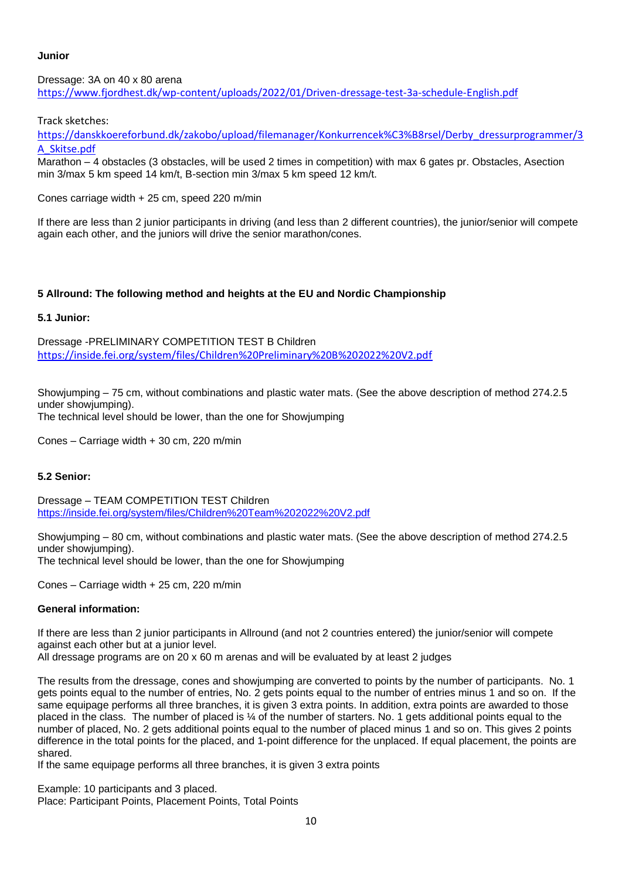# **Junior**

Dressage: 3A on 40 x 80 arena <https://www.fjordhest.dk/wp-content/uploads/2022/01/Driven-dressage-test-3a-schedule-English.pdf>

Track sketches:

[https://danskkoereforbund.dk/zakobo/upload/filemanager/Konkurrencek%C3%B8rsel/Derby\\_dressurprogrammer/3](https://danskkoereforbund.dk/zakobo/upload/filemanager/Konkurrencek%C3%B8rsel/Derby_dressurprogrammer/3A_Skitse.pdf) [A\\_Skitse.pdf](https://danskkoereforbund.dk/zakobo/upload/filemanager/Konkurrencek%C3%B8rsel/Derby_dressurprogrammer/3A_Skitse.pdf)

Marathon – 4 obstacles (3 obstacles, will be used 2 times in competition) with max 6 gates pr. Obstacles, Asection min 3/max 5 km speed 14 km/t, B-section min 3/max 5 km speed 12 km/t.

Cones carriage width + 25 cm, speed 220 m/min

If there are less than 2 junior participants in driving (and less than 2 different countries), the junior/senior will compete again each other, and the juniors will drive the senior marathon/cones.

# **5 Allround: The following method and heights at the EU and Nordic Championship**

## **5.1 Junior:**

Dressage -PRELIMINARY COMPETITION TEST B Children <https://inside.fei.org/system/files/Children%20Preliminary%20B%202022%20V2.pdf>

Showjumping – 75 cm, without combinations and plastic water mats. (See the above description of method 274.2.5 under showjumping). The technical level should be lower, than the one for Showjumping

Cones – Carriage width + 30 cm, 220 m/min

## **5.2 Senior:**

Dressage – TEAM COMPETITION TEST Children <https://inside.fei.org/system/files/Children%20Team%202022%20V2.pdf>

Showjumping – 80 cm, without combinations and plastic water mats. (See the above description of method 274.2.5 under showjumping).

The technical level should be lower, than the one for Showjumping

Cones – Carriage width + 25 cm, 220 m/min

## **General information:**

If there are less than 2 junior participants in Allround (and not 2 countries entered) the junior/senior will compete against each other but at a junior level.

All dressage programs are on 20 x 60 m arenas and will be evaluated by at least 2 judges

The results from the dressage, cones and showjumping are converted to points by the number of participants. No. 1 gets points equal to the number of entries, No. 2 gets points equal to the number of entries minus 1 and so on. If the same equipage performs all three branches, it is given 3 extra points. In addition, extra points are awarded to those placed in the class. The number of placed is ¼ of the number of starters. No. 1 gets additional points equal to the number of placed, No. 2 gets additional points equal to the number of placed minus 1 and so on. This gives 2 points difference in the total points for the placed, and 1-point difference for the unplaced. If equal placement, the points are shared.

If the same equipage performs all three branches, it is given 3 extra points

Example: 10 participants and 3 placed. Place: Participant Points, Placement Points, Total Points